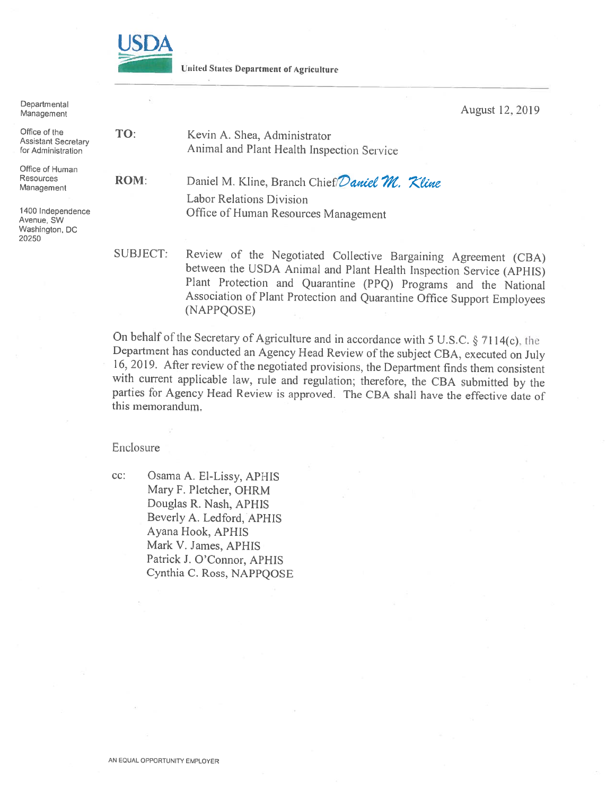

**United States Department of Agriculture** 

Departmental August 12, 2019 Management Office of the TO: Kevin A. Shea, Administrator **Assistant Secretary** Animal and Plant Health Inspection Service for Administration Office of Human Resources **ROM:** Daniel M. Kline, Branch Chief Daniel M. Kline Management **Labor Relations Division** 1400 Independence Office of Human Resources Management Avenue, SW Washington, DC 20250 SUBJECT: Review of the Negotiated Collective Bargaining Agreement (CBA) between the USDA Animal and Plant Health Inspection Service (APHIS)

Plant Protection and Quarantine (PPQ) Programs and the National Association of Plant Protection and Quarantine Office Support Employees (NAPPOOSE) On behalf of the Secretary of Agriculture and in accordance with 5 U.S.C. § 7114(c), the

Department has conducted an Agency Head Review of the subject CBA, executed on July 16, 2019. After review of the negotiated provisions, the Department finds them consistent with current applicable law, rule and regulation; therefore, the CBA submitted by the parties for Agency Head Review is approved. The CBA shall have the effective date of this memorandum.

#### Enclosure

cc: Osama A. El-Lissy, APHIS Mary F. Pletcher, OHRM Douglas R. Nash, APHIS Beverly A. Ledford, APHIS Ayana Hook, APHIS Mark V. James, APHIS Patrick J. O'Connor, APHIS Cynthia C. Ross, NAPPQOSE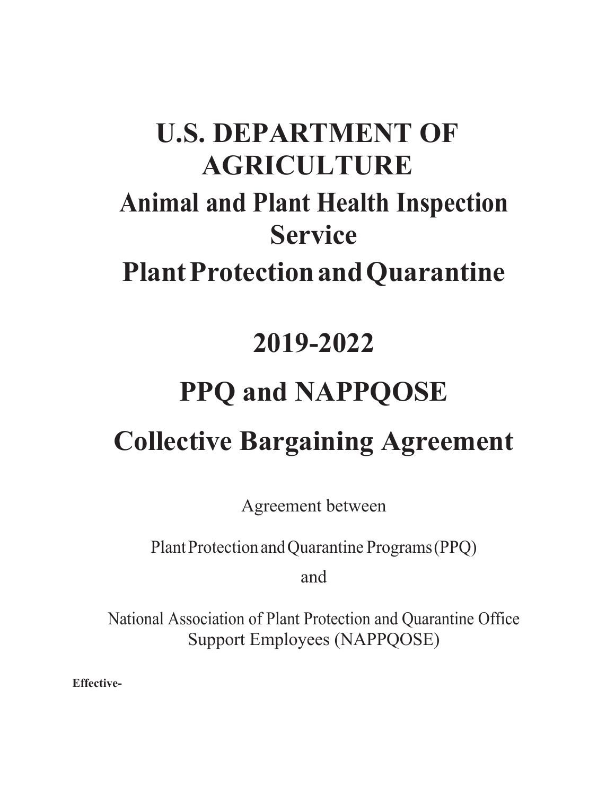# **U.S. DEPARTMENT OF AGRICULTURE Animal and Plant Health Inspection Service Plant Protection and Quarantine**

# **2019-2022**

# **PPQ and NAPPQOSE**

# **Collective Bargaining Agreement**

Agreement between

Plant Protection and Quarantine Programs (PPQ)

and

National Association of Plant Protection and Quarantine Office Support Employees (NAPPQOSE)

**Effective-**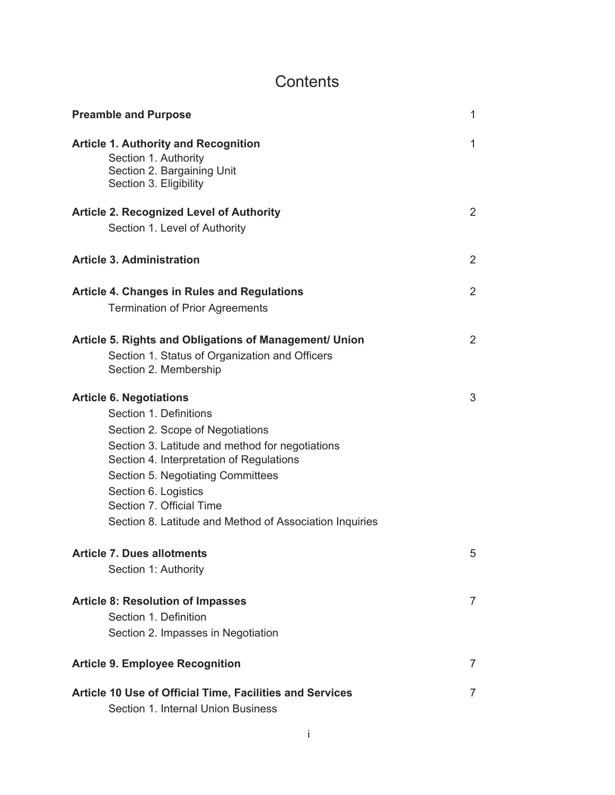# **Contents**

| <b>Preamble and Purpose</b>                                                                                                                                                                                                                                                                                                                     | $\mathbf 1$    |
|-------------------------------------------------------------------------------------------------------------------------------------------------------------------------------------------------------------------------------------------------------------------------------------------------------------------------------------------------|----------------|
| <b>Article 1. Authority and Recognition</b><br>Section 1. Authority<br>Section 2. Bargaining Unit<br>Section 3. Eligibility                                                                                                                                                                                                                     | 1              |
| <b>Article 2. Recognized Level of Authority</b><br>Section 1. Level of Authority                                                                                                                                                                                                                                                                | 2              |
| <b>Article 3. Administration</b>                                                                                                                                                                                                                                                                                                                | 2              |
| <b>Article 4. Changes in Rules and Regulations</b><br><b>Termination of Prior Agreements</b>                                                                                                                                                                                                                                                    | 2              |
| Article 5. Rights and Obligations of Management/ Union<br>Section 1. Status of Organization and Officers<br>Section 2. Membership                                                                                                                                                                                                               | $\overline{2}$ |
| <b>Article 6. Negotiations</b><br>Section 1. Definitions<br>Section 2. Scope of Negotiations<br>Section 3. Latitude and method for negotiations<br>Section 4. Interpretation of Regulations<br>Section 5. Negotiating Committees<br>Section 6. Logistics<br>Section 7. Official Time<br>Section 8. Latitude and Method of Association Inquiries | 3              |
| Article 7. Dues allotments<br>Section 1: Authority                                                                                                                                                                                                                                                                                              | 5              |
| <b>Article 8: Resolution of Impasses</b><br>Section 1. Definition<br>Section 2. Impasses in Negotiation                                                                                                                                                                                                                                         | $\overline{7}$ |
| <b>Article 9. Employee Recognition</b>                                                                                                                                                                                                                                                                                                          | $\overline{7}$ |
| Article 10 Use of Official Time, Facilities and Services<br>Section 1. Internal Union Business                                                                                                                                                                                                                                                  | $\overline{7}$ |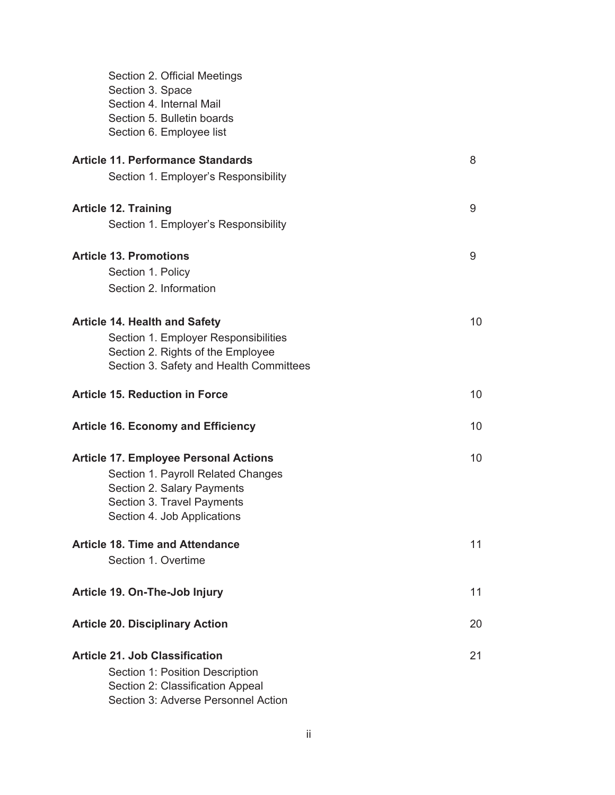| Section 2. Official Meetings<br>Section 3. Space<br>Section 4. Internal Mail<br>Section 5. Bulletin boards<br>Section 6. Employee list |    |
|----------------------------------------------------------------------------------------------------------------------------------------|----|
| <b>Article 11. Performance Standards</b>                                                                                               | 8  |
| Section 1. Employer's Responsibility                                                                                                   |    |
| <b>Article 12. Training</b>                                                                                                            | 9  |
| Section 1. Employer's Responsibility                                                                                                   |    |
| <b>Article 13. Promotions</b>                                                                                                          | 9  |
| Section 1. Policy                                                                                                                      |    |
| Section 2. Information                                                                                                                 |    |
| <b>Article 14. Health and Safety</b>                                                                                                   | 10 |
| Section 1. Employer Responsibilities                                                                                                   |    |
| Section 2. Rights of the Employee                                                                                                      |    |
| Section 3. Safety and Health Committees                                                                                                |    |
| <b>Article 15. Reduction in Force</b>                                                                                                  | 10 |
| <b>Article 16. Economy and Efficiency</b>                                                                                              | 10 |
| <b>Article 17. Employee Personal Actions</b>                                                                                           | 10 |
| Section 1. Payroll Related Changes                                                                                                     |    |
| Section 2. Salary Payments                                                                                                             |    |
| Section 3. Travel Payments                                                                                                             |    |
| Section 4. Job Applications                                                                                                            |    |
| <b>Article 18. Time and Attendance</b>                                                                                                 | 11 |
| Section 1. Overtime                                                                                                                    |    |
| Article 19. On-The-Job Injury                                                                                                          | 11 |
| <b>Article 20. Disciplinary Action</b>                                                                                                 | 20 |
| <b>Article 21. Job Classification</b>                                                                                                  | 21 |
| Section 1: Position Description                                                                                                        |    |
| Section 2: Classification Appeal                                                                                                       |    |
|                                                                                                                                        |    |

Section 3: Adverse Personnel Action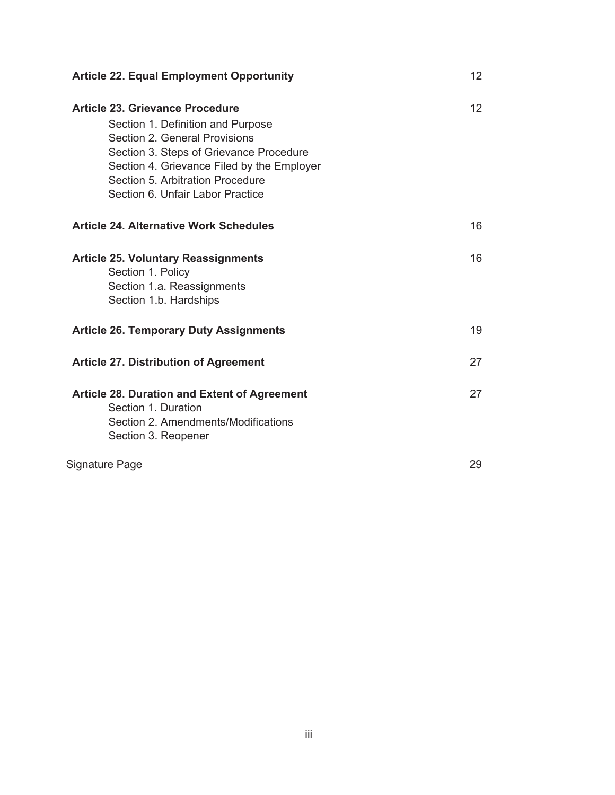| <b>Article 22. Equal Employment Opportunity</b>                                                                                                                                                                                                                        | 12 <sup>2</sup> |
|------------------------------------------------------------------------------------------------------------------------------------------------------------------------------------------------------------------------------------------------------------------------|-----------------|
| Article 23. Grievance Procedure<br>Section 1. Definition and Purpose<br>Section 2. General Provisions<br>Section 3. Steps of Grievance Procedure<br>Section 4. Grievance Filed by the Employer<br>Section 5. Arbitration Procedure<br>Section 6. Unfair Labor Practice | 12 <sup>2</sup> |
| Article 24, Alternative Work Schedules                                                                                                                                                                                                                                 | 16              |
| <b>Article 25. Voluntary Reassignments</b><br>Section 1. Policy<br>Section 1.a. Reassignments<br>Section 1.b. Hardships                                                                                                                                                | 16              |
| <b>Article 26. Temporary Duty Assignments</b>                                                                                                                                                                                                                          | 19              |
| <b>Article 27. Distribution of Agreement</b>                                                                                                                                                                                                                           | 27              |
| <b>Article 28. Duration and Extent of Agreement</b><br>Section 1. Duration<br>Section 2. Amendments/Modifications<br>Section 3. Reopener                                                                                                                               | 27              |
| Signature Page                                                                                                                                                                                                                                                         | 29              |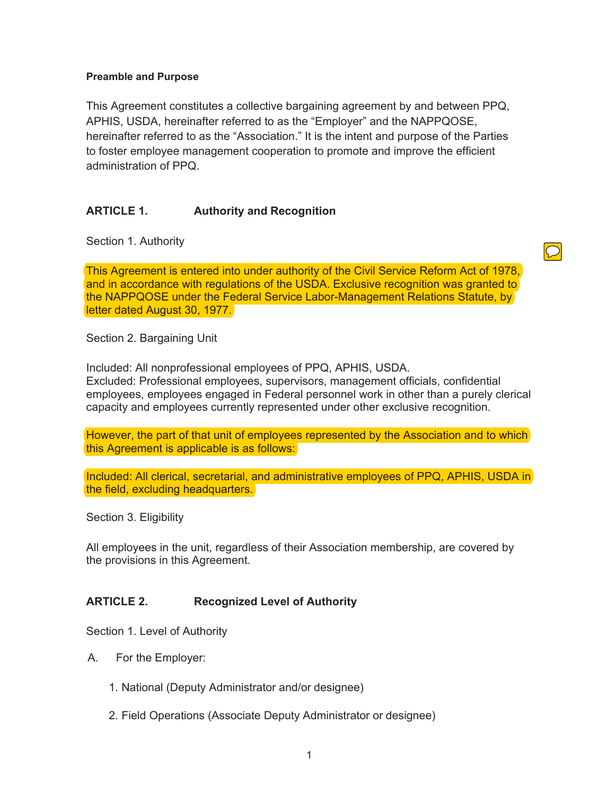#### **Preamble and Purpose**

This Agreement constitutes a collective bargaining agreement by and between PPQ, APHIS, USDA, hereinafter referred to as the "Employer" and the NAPPQOSE, hereinafter referred to as the "Association." It is the intent and purpose of the Parties to foster employee management cooperation to promote and improve the efficient administration of PPQ.

# **ARTICLE 1. Authority and Recognition**

Section 1. Authority

This Agreement is entered into under authority of the Civil Service Reform Act of 1978, and in accordance with regulations of the USDA. Exclusive recognition was granted to the NAPPQOSE under the Federal Service Labor-Management Relations Statute, by letter dated August 30, 1977.

 $\bigcirc$ 

Section 2. Bargaining Unit

Included: All nonprofessional employees of PPQ, APHIS, USDA. Excluded: Professional employees, supervisors, management officials, confidential employees, employees engaged in Federal personnel work in other than a purely clerical capacity and employees currently represented under other exclusive recognition.

However, the part of that unit of employees represented by the Association and to which this Agreement is applicable is as follows:

Included: All clerical, secretarial, and administrative employees of PPQ, APHIS, USDA in the field, excluding headquarters.

Section 3. Eligibility

All employees in the unit, regardless of their Association membership, are covered by the provisions in this Agreement.

#### **ARTICLE 2. Recognized Level of Authority**

Section 1. Level of Authority

- A. For the Employer:
	- 1. National (Deputy Administrator and/or designee)
	- 2. Field Operations (Associate Deputy Administrator or designee)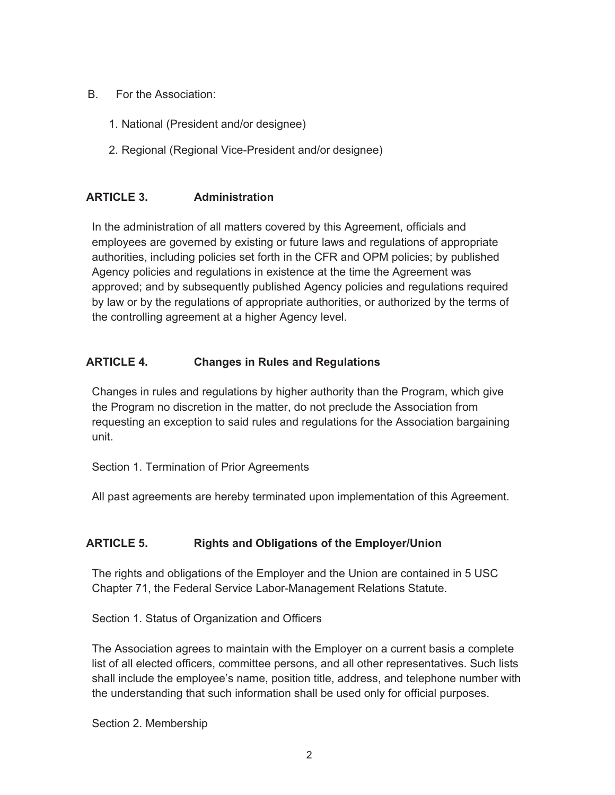- B. For the Association:
	- 1. National (President and/or designee)
	- 2. Regional (Regional Vice-President and/or designee)

### **ARTICLE 3. Administration**

In the administration of all matters covered by this Agreement, officials and employees are governed by existing or future laws and regulations of appropriate authorities, including policies set forth in the CFR and OPM policies; by published Agency policies and regulations in existence at the time the Agreement was approved; and by subsequently published Agency policies and regulations required by law or by the regulations of appropriate authorities, or authorized by the terms of the controlling agreement at a higher Agency level.

# **ARTICLE 4. Changes in Rules and Regulations**

Changes in rules and regulations by higher authority than the Program, which give the Program no discretion in the matter, do not preclude the Association from requesting an exception to said rules and regulations for the Association bargaining unit.

Section 1. Termination of Prior Agreements

All past agreements are hereby terminated upon implementation of this Agreement.

# **ARTICLE 5. Rights and Obligations of the Employer/Union**

The rights and obligations of the Employer and the Union are contained in 5 USC Chapter 71, the Federal Service Labor-Management Relations Statute.

Section 1. Status of Organization and Officers

The Association agrees to maintain with the Employer on a current basis a complete list of all elected officers, committee persons, and all other representatives. Such lists shall include the employee's name, position title, address, and telephone number with the understanding that such information shall be used only for official purposes.

Section 2. Membership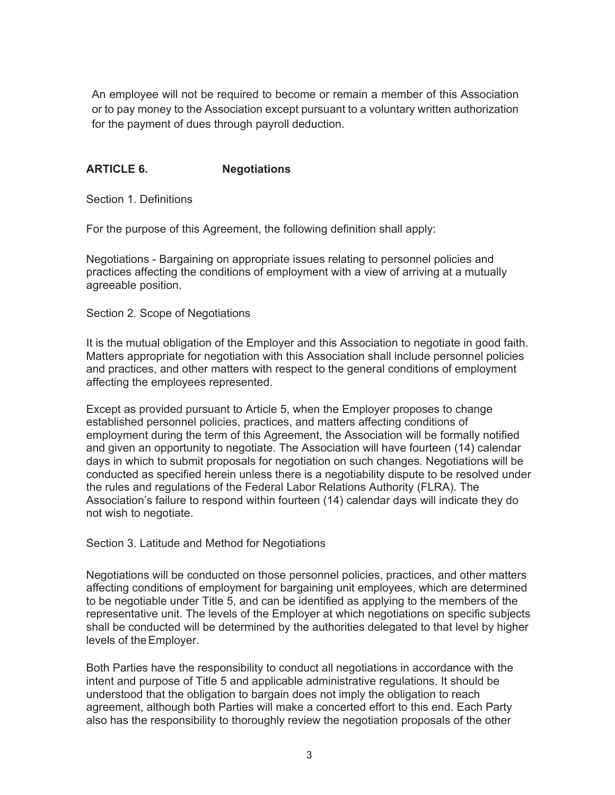An employee will not be required to become or remain a member of this Association or to pay money to the Association except pursuant to a voluntary written authorization for the payment of dues through payroll deduction.

### **ARTICLE 6. Negotiations**

Section 1. Definitions

For the purpose of this Agreement, the following definition shall apply:

Negotiations - Bargaining on appropriate issues relating to personnel policies and practices affecting the conditions of employment with a view of arriving at a mutually agreeable position.

Section 2. Scope of Negotiations

It is the mutual obligation of the Employer and this Association to negotiate in good faith. Matters appropriate for negotiation with this Association shall include personnel policies and practices, and other matters with respect to the general conditions of employment affecting the employees represented.

Except as provided pursuant to Article 5, when the Employer proposes to change established personnel policies, practices, and matters affecting conditions of employment during the term of this Agreement, the Association will be formally notified and given an opportunity to negotiate. The Association will have fourteen (14) calendar days in which to submit proposals for negotiation on such changes. Negotiations will be conducted as specified herein unless there is a negotiability dispute to be resolved under the rules and regulations of the Federal Labor Relations Authority (FLRA). The Association's failure to respond within fourteen (14) calendar days will indicate they do not wish to negotiate.

Section 3. Latitude and Method for Negotiations

Negotiations will be conducted on those personnel policies, practices, and other matters affecting conditions of employment for bargaining unit employees, which are determined to be negotiable under Title 5, and can be identified as applying to the members of the representative unit. The levels of the Employer at which negotiations on specific subjects shall be conducted will be determined by the authorities delegated to that level by higher levels of the Employer.

Both Parties have the responsibility to conduct all negotiations in accordance with the intent and purpose of Title 5 and applicable administrative regulations. It should be understood that the obligation to bargain does not imply the obligation to reach agreement, although both Parties will make a concerted effort to this end. Each Party also has the responsibility to thoroughly review the negotiation proposals of the other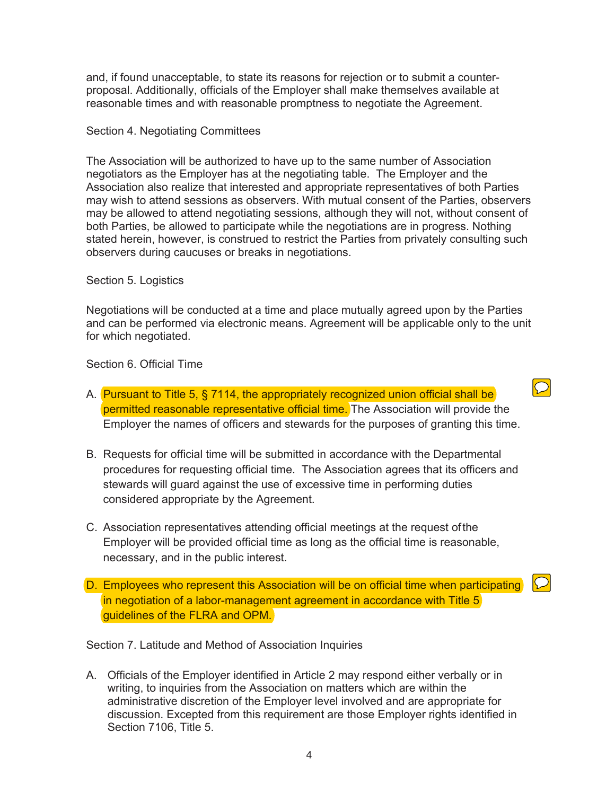and, if found unacceptable, to state its reasons for rejection or to submit a counterproposal. Additionally, officials of the Employer shall make themselves available at reasonable times and with reasonable promptness to negotiate the Agreement.

#### Section 4. Negotiating Committees

The Association will be authorized to have up to the same number of Association negotiators as the Employer has at the negotiating table. The Employer and the Association also realize that interested and appropriate representatives of both Parties may wish to attend sessions as observers. With mutual consent of the Parties, observers may be allowed to attend negotiating sessions, although they will not, without consent of both Parties, be allowed to participate while the negotiations are in progress. Nothing stated herein, however, is construed to restrict the Parties from privately consulting such observers during caucuses or breaks in negotiations.

#### Section 5. Logistics

Negotiations will be conducted at a time and place mutually agreed upon by the Parties and can be performed via electronic means. Agreement will be applicable only to the unit for which negotiated.

Section 6. Official Time

A. Pursuant to Title 5, § 7114, the appropriately recognized union official shall be permitted reasonable representative official time. The Association will provide the Employer the names of officers and stewards for the purposes of granting this time.

 $\bigcirc$ 

- B. Requests for official time will be submitted in accordance with the Departmental procedures for requesting official time. The Association agrees that its officers and stewards will guard against the use of excessive time in performing duties considered appropriate by the Agreement.
- C. Association representatives attending official meetings at the request of the Employer will be provided official time as long as the official time is reasonable, necessary, and in the public interest.
- $\overline{D}$ D. Employees who represent this Association will be on official time when participating in negotiation of a labor-management agreement in accordance with Title 5 guidelines of the FLRA and OPM.

Section 7. Latitude and Method of Association Inquiries

A. Officials of the Employer identified in Article 2 may respond either verbally or in writing, to inquiries from the Association on matters which are within the administrative discretion of the Employer level involved and are appropriate for discussion. Excepted from this requirement are those Employer rights identified in Section 7106, Title 5.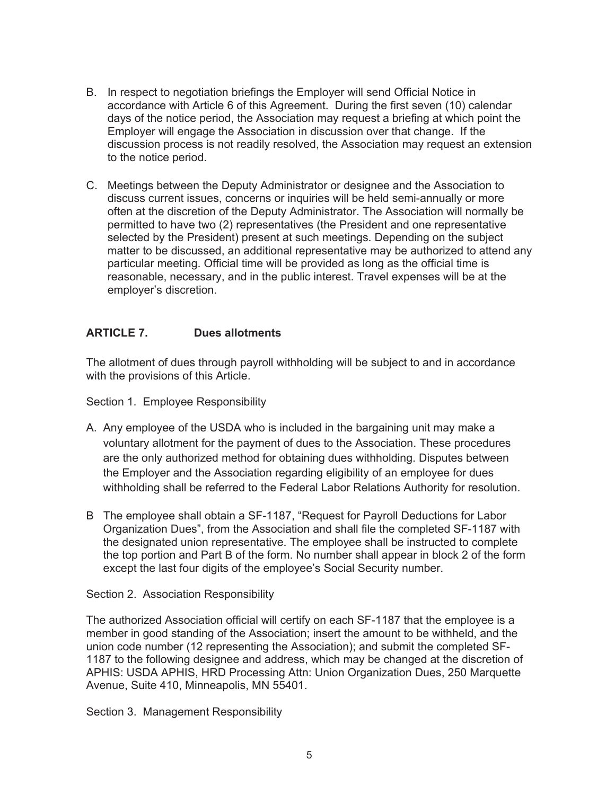- B. In respect to negotiation briefings the Employer will send Official Notice in accordance with Article 6 of this Agreement. During the first seven (10) calendar days of the notice period, the Association may request a briefing at which point the Employer will engage the Association in discussion over that change. If the discussion process is not readily resolved, the Association may request an extension to the notice period.
- C. Meetings between the Deputy Administrator or designee and the Association to discuss current issues, concerns or inquiries will be held semi-annually or more often at the discretion of the Deputy Administrator. The Association will normally be permitted to have two (2) representatives (the President and one representative selected by the President) present at such meetings. Depending on the subject matter to be discussed, an additional representative may be authorized to attend any particular meeting. Official time will be provided as long as the official time is reasonable, necessary, and in the public interest. Travel expenses will be at the employer's discretion.

### **ARTICLE 7. Dues allotments**

The allotment of dues through payroll withholding will be subject to and in accordance with the provisions of this Article.

Section 1. Employee Responsibility

- A. Any employee of the USDA who is included in the bargaining unit may make a voluntary allotment for the payment of dues to the Association. These procedures are the only authorized method for obtaining dues withholding. Disputes between the Employer and the Association regarding eligibility of an employee for dues withholding shall be referred to the Federal Labor Relations Authority for resolution.
- B The employee shall obtain a SF-1187, "Request for Payroll Deductions for Labor Organization Dues", from the Association and shall file the completed SF-1187 with the designated union representative. The employee shall be instructed to complete the top portion and Part B of the form. No number shall appear in block 2 of the form except the last four digits of the employee's Social Security number.

#### Section 2. Association Responsibility

The authorized Association official will certify on each SF-1187 that the employee is a member in good standing of the Association; insert the amount to be withheld, and the union code number (12 representing the Association); and submit the completed SF-1187 to the following designee and address, which may be changed at the discretion of APHIS: USDA APHIS, HRD Processing Attn: Union Organization Dues, 250 Marquette Avenue, Suite 410, Minneapolis, MN 55401.

Section 3. Management Responsibility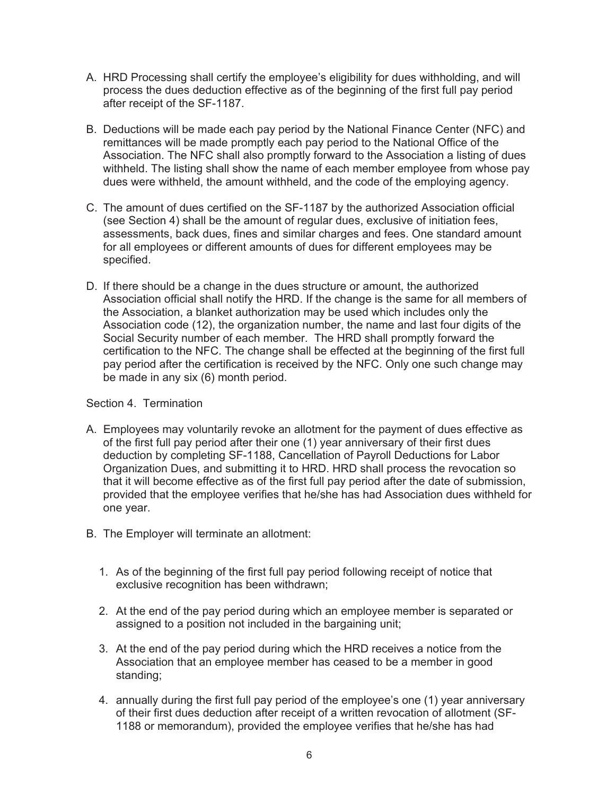- A. HRD Processing shall certify the employee's eligibility for dues withholding, and will process the dues deduction effective as of the beginning of the first full pay period after receipt of the SF-1187.
- B. Deductions will be made each pay period by the National Finance Center (NFC) and remittances will be made promptly each pay period to the National Office of the Association. The NFC shall also promptly forward to the Association a listing of dues withheld. The listing shall show the name of each member employee from whose pay dues were withheld, the amount withheld, and the code of the employing agency.
- C. The amount of dues certified on the SF-1187 by the authorized Association official (see Section 4) shall be the amount of regular dues, exclusive of initiation fees, assessments, back dues, fines and similar charges and fees. One standard amount for all employees or different amounts of dues for different employees may be specified.
- D. If there should be a change in the dues structure or amount, the authorized Association official shall notify the HRD. If the change is the same for all members of the Association, a blanket authorization may be used which includes only the Association code (12), the organization number, the name and last four digits of the Social Security number of each member. The HRD shall promptly forward the certification to the NFC. The change shall be effected at the beginning of the first full pay period after the certification is received by the NFC. Only one such change may be made in any six (6) month period.

Section 4. Termination

- A. Employees may voluntarily revoke an allotment for the payment of dues effective as of the first full pay period after their one (1) year anniversary of their first dues deduction by completing SF-1188, Cancellation of Payroll Deductions for Labor Organization Dues, and submitting it to HRD. HRD shall process the revocation so that it will become effective as of the first full pay period after the date of submission, provided that the employee verifies that he/she has had Association dues withheld for one year.
- B. The Employer will terminate an allotment:
	- 1. As of the beginning of the first full pay period following receipt of notice that exclusive recognition has been withdrawn;
	- 2. At the end of the pay period during which an employee member is separated or assigned to a position not included in the bargaining unit;
	- 3. At the end of the pay period during which the HRD receives a notice from the Association that an employee member has ceased to be a member in good standing;
	- 4. annually during the first full pay period of the employee's one (1) year anniversary of their first dues deduction after receipt of a written revocation of allotment (SF-1188 or memorandum), provided the employee verifies that he/she has had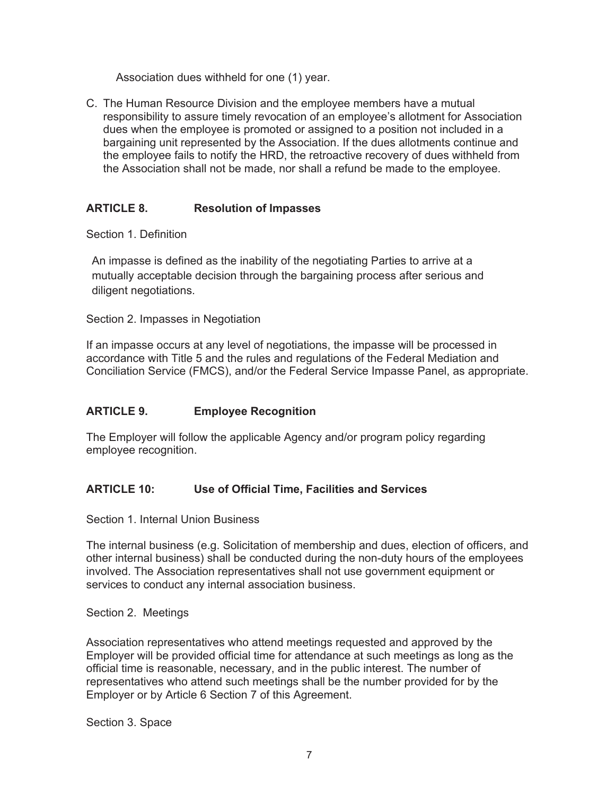Association dues withheld for one (1) year.

C. The Human Resource Division and the employee members have a mutual responsibility to assure timely revocation of an employee's allotment for Association dues when the employee is promoted or assigned to a position not included in a bargaining unit represented by the Association. If the dues allotments continue and the employee fails to notify the HRD, the retroactive recovery of dues withheld from the Association shall not be made, nor shall a refund be made to the employee.

# **ARTICLE 8. Resolution of Impasses**

Section 1. Definition

An impasse is defined as the inability of the negotiating Parties to arrive at a mutually acceptable decision through the bargaining process after serious and diligent negotiations.

Section 2. Impasses in Negotiation

If an impasse occurs at any level of negotiations, the impasse will be processed in accordance with Title 5 and the rules and regulations of the Federal Mediation and Conciliation Service (FMCS), and/or the Federal Service Impasse Panel, as appropriate.

# **ARTICLE 9. Employee Recognition**

The Employer will follow the applicable Agency and/or program policy regarding employee recognition.

# **ARTICLE 10: Use of Official Time, Facilities and Services**

Section 1. Internal Union Business

The internal business (e.g. Solicitation of membership and dues, election of officers, and other internal business) shall be conducted during the non-duty hours of the employees involved. The Association representatives shall not use government equipment or services to conduct any internal association business.

Section 2. Meetings

Association representatives who attend meetings requested and approved by the Employer will be provided official time for attendance at such meetings as long as the official time is reasonable, necessary, and in the public interest. The number of representatives who attend such meetings shall be the number provided for by the Employer or by Article 6 Section 7 of this Agreement.

Section 3. Space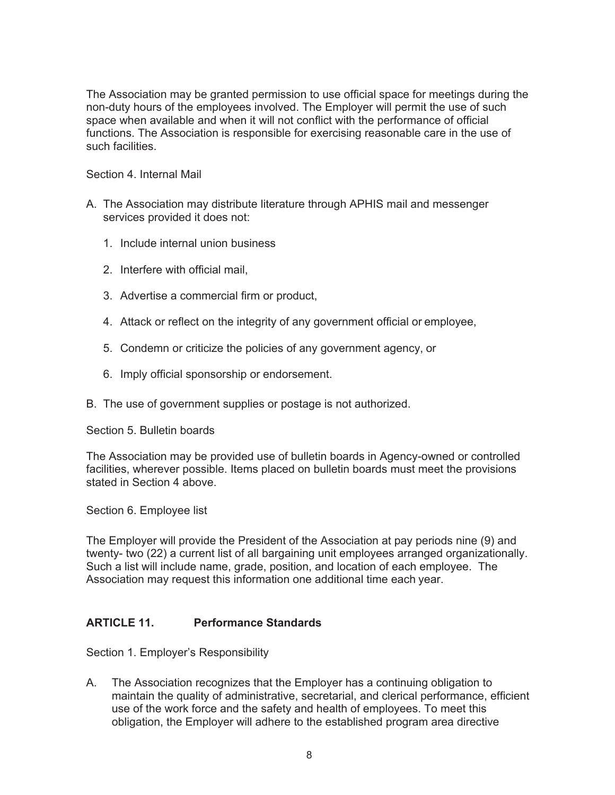The Association may be granted permission to use official space for meetings during the non-duty hours of the employees involved. The Employer will permit the use of such space when available and when it will not conflict with the performance of official functions. The Association is responsible for exercising reasonable care in the use of such facilities.

Section 4. Internal Mail

- A. The Association may distribute literature through APHIS mail and messenger services provided it does not:
	- 1. Include internal union business
	- 2. Interfere with official mail,
	- 3. Advertise a commercial firm or product,
	- 4. Attack or reflect on the integrity of any government official or employee,
	- 5. Condemn or criticize the policies of any government agency, or
	- 6. Imply official sponsorship or endorsement.
- B. The use of government supplies or postage is not authorized.

Section 5. Bulletin boards

The Association may be provided use of bulletin boards in Agency-owned or controlled facilities, wherever possible. Items placed on bulletin boards must meet the provisions stated in Section 4 above.

Section 6. Employee list

The Employer will provide the President of the Association at pay periods nine (9) and twenty- two (22) a current list of all bargaining unit employees arranged organizationally. Such a list will include name, grade, position, and location of each employee. The Association may request this information one additional time each year.

# **ARTICLE 11. Performance Standards**

Section 1. Employer's Responsibility

A. The Association recognizes that the Employer has a continuing obligation to maintain the quality of administrative, secretarial, and clerical performance, efficient use of the work force and the safety and health of employees. To meet this obligation, the Employer will adhere to the established program area directive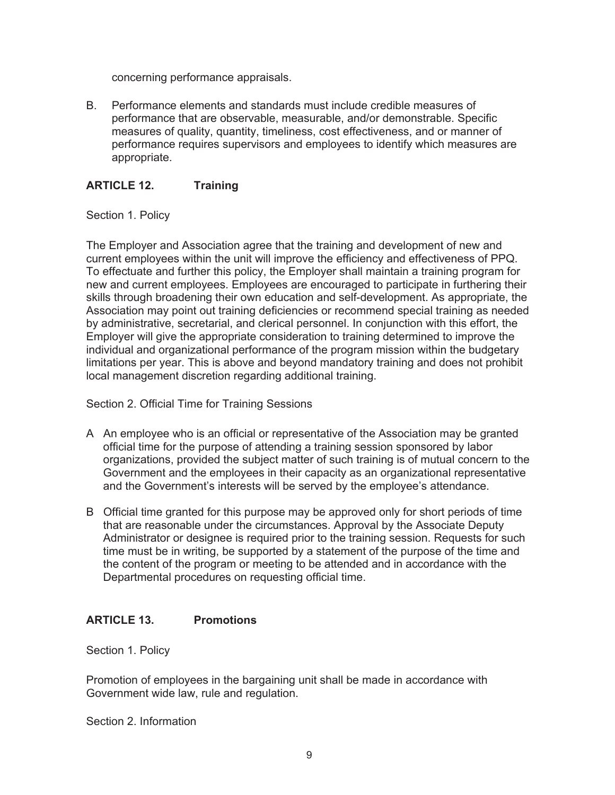concerning performance appraisals.

B. Performance elements and standards must include credible measures of performance that are observable, measurable, and/or demonstrable. Specific measures of quality, quantity, timeliness, cost effectiveness, and or manner of performance requires supervisors and employees to identify which measures are appropriate.

#### **ARTICLE 12. Training**

Section 1. Policy

The Employer and Association agree that the training and development of new and current employees within the unit will improve the efficiency and effectiveness of PPQ. To effectuate and further this policy, the Employer shall maintain a training program for new and current employees. Employees are encouraged to participate in furthering their skills through broadening their own education and self-development. As appropriate, the Association may point out training deficiencies or recommend special training as needed by administrative, secretarial, and clerical personnel. In conjunction with this effort, the Employer will give the appropriate consideration to training determined to improve the individual and organizational performance of the program mission within the budgetary limitations per year. This is above and beyond mandatory training and does not prohibit local management discretion regarding additional training.

Section 2. Official Time for Training Sessions

- A An employee who is an official or representative of the Association may be granted official time for the purpose of attending a training session sponsored by labor organizations, provided the subject matter of such training is of mutual concern to the Government and the employees in their capacity as an organizational representative and the Government's interests will be served by the employee's attendance.
- B Official time granted for this purpose may be approved only for short periods of time that are reasonable under the circumstances. Approval by the Associate Deputy Administrator or designee is required prior to the training session. Requests for such time must be in writing, be supported by a statement of the purpose of the time and the content of the program or meeting to be attended and in accordance with the Departmental procedures on requesting official time.

# **ARTICLE 13. Promotions**

Section 1. Policy

Promotion of employees in the bargaining unit shall be made in accordance with Government wide law, rule and regulation.

Section 2. Information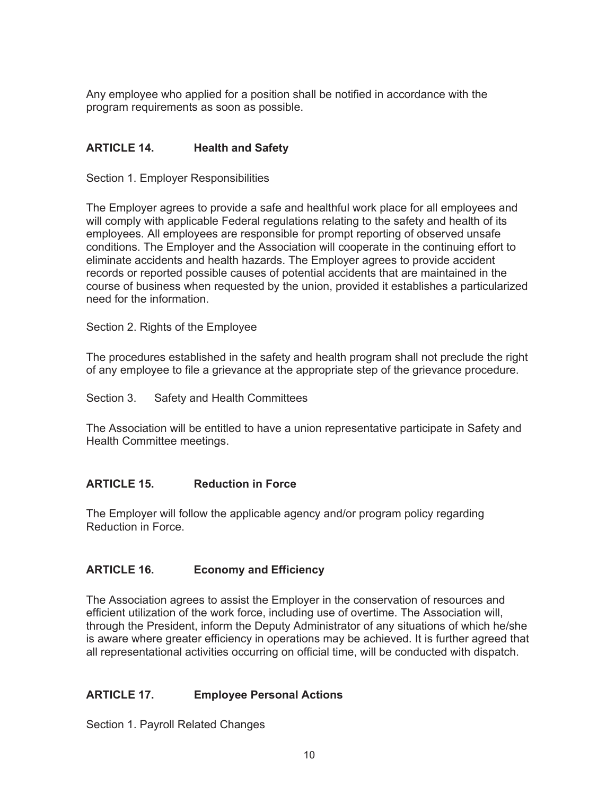Any employee who applied for a position shall be notified in accordance with the program requirements as soon as possible.

### **ARTICLE 14. Health and Safety**

Section 1. Employer Responsibilities

The Employer agrees to provide a safe and healthful work place for all employees and will comply with applicable Federal regulations relating to the safety and health of its employees. All employees are responsible for prompt reporting of observed unsafe conditions. The Employer and the Association will cooperate in the continuing effort to eliminate accidents and health hazards. The Employer agrees to provide accident records or reported possible causes of potential accidents that are maintained in the course of business when requested by the union, provided it establishes a particularized need for the information.

Section 2. Rights of the Employee

The procedures established in the safety and health program shall not preclude the right of any employee to file a grievance at the appropriate step of the grievance procedure.

Section 3. Safety and Health Committees

The Association will be entitled to have a union representative participate in Safety and Health Committee meetings.

#### **ARTICLE 15. Reduction in Force**

The Employer will follow the applicable agency and/or program policy regarding Reduction in Force.

#### **ARTICLE 16. Economy and Efficiency**

The Association agrees to assist the Employer in the conservation of resources and efficient utilization of the work force, including use of overtime. The Association will, through the President, inform the Deputy Administrator of any situations of which he/she is aware where greater efficiency in operations may be achieved. It is further agreed that all representational activities occurring on official time, will be conducted with dispatch.

# **ARTICLE 17. Employee Personal Actions**

Section 1. Payroll Related Changes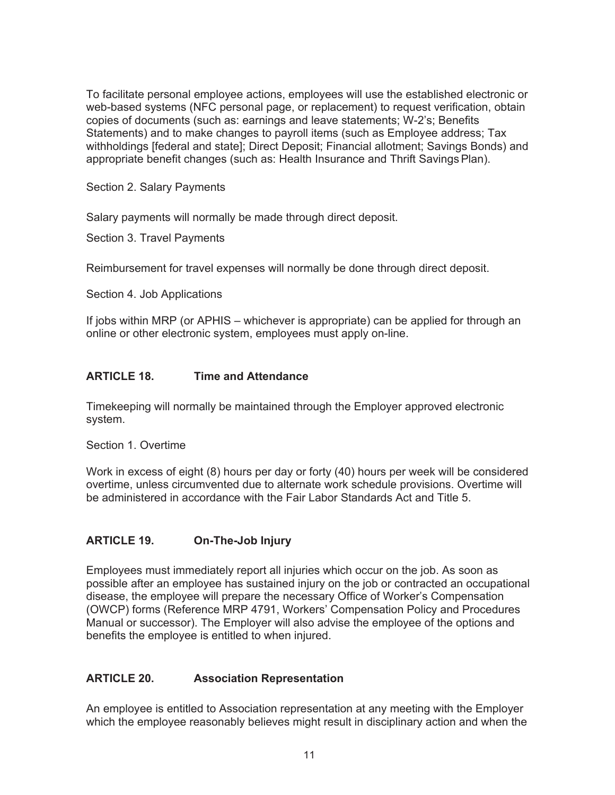To facilitate personal employee actions, employees will use the established electronic or web-based systems (NFC personal page, or replacement) to request verification, obtain copies of documents (such as: earnings and leave statements; W-2's; Benefits Statements) and to make changes to payroll items (such as Employee address; Tax withholdings [federal and state]; Direct Deposit; Financial allotment; Savings Bonds) and appropriate benefit changes (such as: Health Insurance and Thrift Savings Plan).

Section 2. Salary Payments

Salary payments will normally be made through direct deposit.

Section 3. Travel Payments

Reimbursement for travel expenses will normally be done through direct deposit.

Section 4. Job Applications

If jobs within MRP (or APHIS – whichever is appropriate) can be applied for through an online or other electronic system, employees must apply on-line.

### **ARTICLE 18. Time and Attendance**

Timekeeping will normally be maintained through the Employer approved electronic system.

Section 1. Overtime

Work in excess of eight (8) hours per day or forty (40) hours per week will be considered overtime, unless circumvented due to alternate work schedule provisions. Overtime will be administered in accordance with the Fair Labor Standards Act and Title 5.

# **ARTICLE 19. On-The-Job Injury**

Employees must immediately report all injuries which occur on the job. As soon as possible after an employee has sustained injury on the job or contracted an occupational disease, the employee will prepare the necessary Office of Worker's Compensation (OWCP) forms (Reference MRP 4791, Workers' Compensation Policy and Procedures Manual or successor). The Employer will also advise the employee of the options and benefits the employee is entitled to when injured.

# **ARTICLE 20. Association Representation**

An employee is entitled to Association representation at any meeting with the Employer which the employee reasonably believes might result in disciplinary action and when the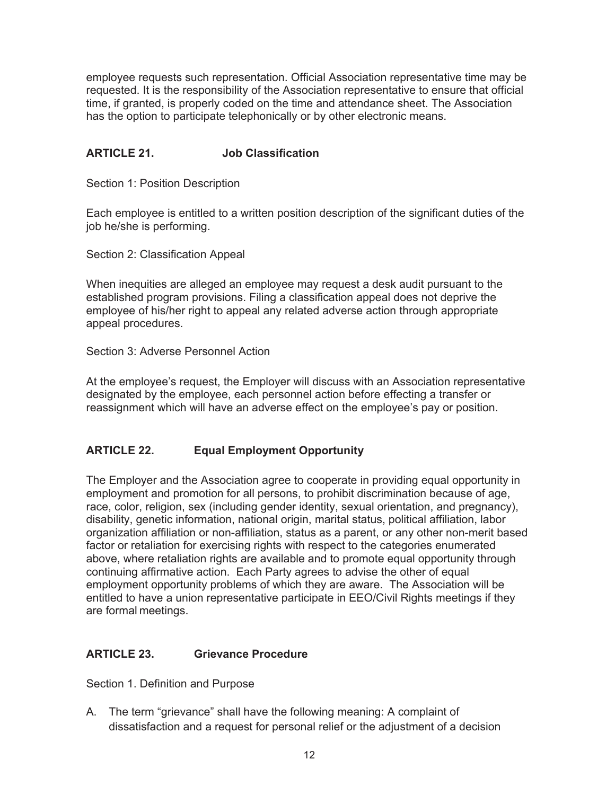employee requests such representation. Official Association representative time may be requested. It is the responsibility of the Association representative to ensure that official time, if granted, is properly coded on the time and attendance sheet. The Association has the option to participate telephonically or by other electronic means.

# **ARTICLE 21. Job Classification**

Section 1: Position Description

Each employee is entitled to a written position description of the significant duties of the job he/she is performing.

Section 2: Classification Appeal

When inequities are alleged an employee may request a desk audit pursuant to the established program provisions. Filing a classification appeal does not deprive the employee of his/her right to appeal any related adverse action through appropriate appeal procedures.

Section 3: Adverse Personnel Action

At the employee's request, the Employer will discuss with an Association representative designated by the employee, each personnel action before effecting a transfer or reassignment which will have an adverse effect on the employee's pay or position.

# **ARTICLE 22. Equal Employment Opportunity**

The Employer and the Association agree to cooperate in providing equal opportunity in employment and promotion for all persons, to prohibit discrimination because of age, race, color, religion, sex (including gender identity, sexual orientation, and pregnancy), disability, genetic information, national origin, marital status, political affiliation, labor organization affiliation or non-affiliation, status as a parent, or any other non-merit based factor or retaliation for exercising rights with respect to the categories enumerated above, where retaliation rights are available and to promote equal opportunity through continuing affirmative action. Each Party agrees to advise the other of equal employment opportunity problems of which they are aware. The Association will be entitled to have a union representative participate in EEO/Civil Rights meetings if they are formal meetings.

#### **ARTICLE 23. Grievance Procedure**

Section 1. Definition and Purpose

A. The term "grievance" shall have the following meaning: A complaint of dissatisfaction and a request for personal relief or the adjustment of a decision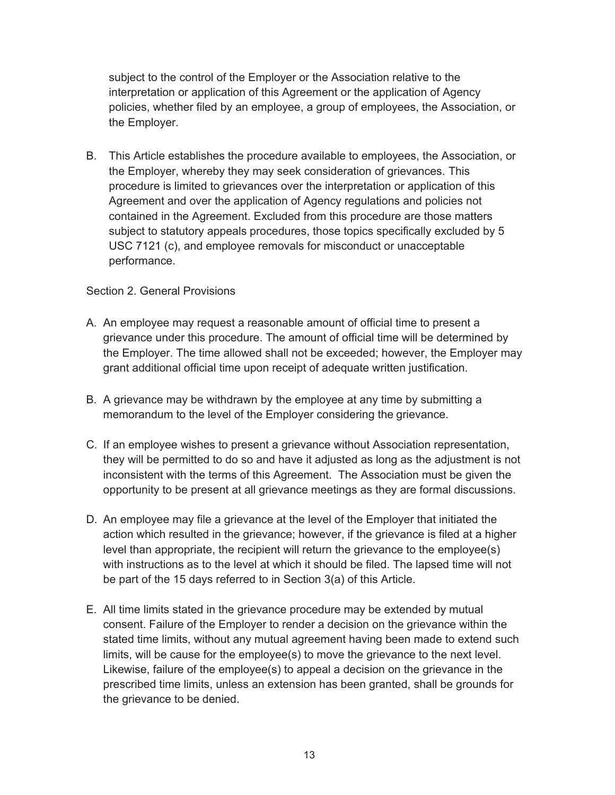subject to the control of the Employer or the Association relative to the interpretation or application of this Agreement or the application of Agency policies, whether filed by an employee, a group of employees, the Association, or the Employer.

B. This Article establishes the procedure available to employees, the Association, or the Employer, whereby they may seek consideration of grievances. This procedure is limited to grievances over the interpretation or application of this Agreement and over the application of Agency regulations and policies not contained in the Agreement. Excluded from this procedure are those matters subject to statutory appeals procedures, those topics specifically excluded by 5 USC 7121 (c), and employee removals for misconduct or unacceptable performance.

### Section 2. General Provisions

- A. An employee may request a reasonable amount of official time to present a grievance under this procedure. The amount of official time will be determined by the Employer. The time allowed shall not be exceeded; however, the Employer may grant additional official time upon receipt of adequate written justification.
- B. A grievance may be withdrawn by the employee at any time by submitting a memorandum to the level of the Employer considering the grievance.
- C. If an employee wishes to present a grievance without Association representation, they will be permitted to do so and have it adjusted as long as the adjustment is not inconsistent with the terms of this Agreement. The Association must be given the opportunity to be present at all grievance meetings as they are formal discussions.
- D. An employee may file a grievance at the level of the Employer that initiated the action which resulted in the grievance; however, if the grievance is filed at a higher level than appropriate, the recipient will return the grievance to the employee(s) with instructions as to the level at which it should be filed. The lapsed time will not be part of the 15 days referred to in Section 3(a) of this Article.
- E. All time limits stated in the grievance procedure may be extended by mutual consent. Failure of the Employer to render a decision on the grievance within the stated time limits, without any mutual agreement having been made to extend such limits, will be cause for the employee(s) to move the grievance to the next level. Likewise, failure of the employee(s) to appeal a decision on the grievance in the prescribed time limits, unless an extension has been granted, shall be grounds for the grievance to be denied.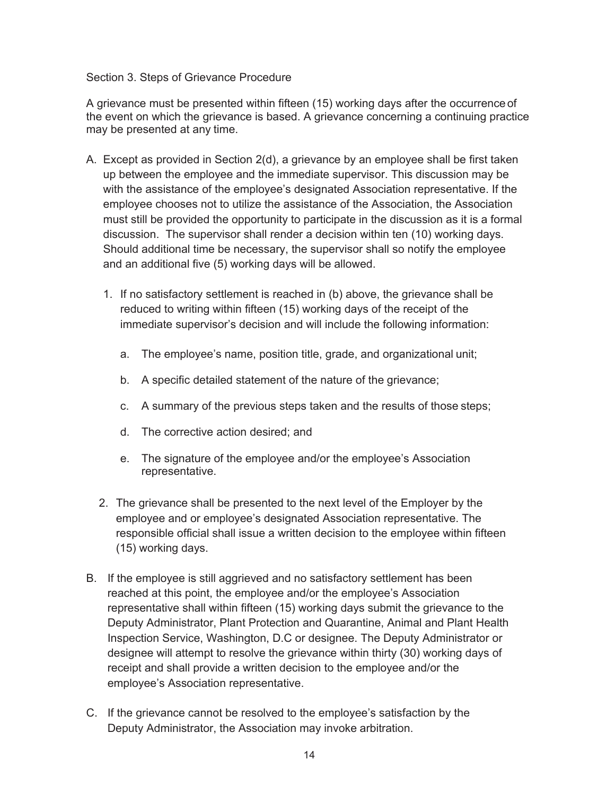#### Section 3. Steps of Grievance Procedure

A grievance must be presented within fifteen (15) working days after the occurrence of the event on which the grievance is based. A grievance concerning a continuing practice may be presented at any time.

- A. Except as provided in Section 2(d), a grievance by an employee shall be first taken up between the employee and the immediate supervisor. This discussion may be with the assistance of the employee's designated Association representative. If the employee chooses not to utilize the assistance of the Association, the Association must still be provided the opportunity to participate in the discussion as it is a formal discussion. The supervisor shall render a decision within ten (10) working days. Should additional time be necessary, the supervisor shall so notify the employee and an additional five (5) working days will be allowed.
	- 1. If no satisfactory settlement is reached in (b) above, the grievance shall be reduced to writing within fifteen (15) working days of the receipt of the immediate supervisor's decision and will include the following information:
		- a. The employee's name, position title, grade, and organizational unit;
		- b. A specific detailed statement of the nature of the grievance;
		- c. A summary of the previous steps taken and the results of those steps;
		- d. The corrective action desired; and
		- e. The signature of the employee and/or the employee's Association representative.
	- 2. The grievance shall be presented to the next level of the Employer by the employee and or employee's designated Association representative. The responsible official shall issue a written decision to the employee within fifteen (15) working days.
- B. If the employee is still aggrieved and no satisfactory settlement has been reached at this point, the employee and/or the employee's Association representative shall within fifteen (15) working days submit the grievance to the Deputy Administrator, Plant Protection and Quarantine, Animal and Plant Health Inspection Service, Washington, D.C or designee. The Deputy Administrator or designee will attempt to resolve the grievance within thirty (30) working days of receipt and shall provide a written decision to the employee and/or the employee's Association representative.
- C. If the grievance cannot be resolved to the employee's satisfaction by the Deputy Administrator, the Association may invoke arbitration.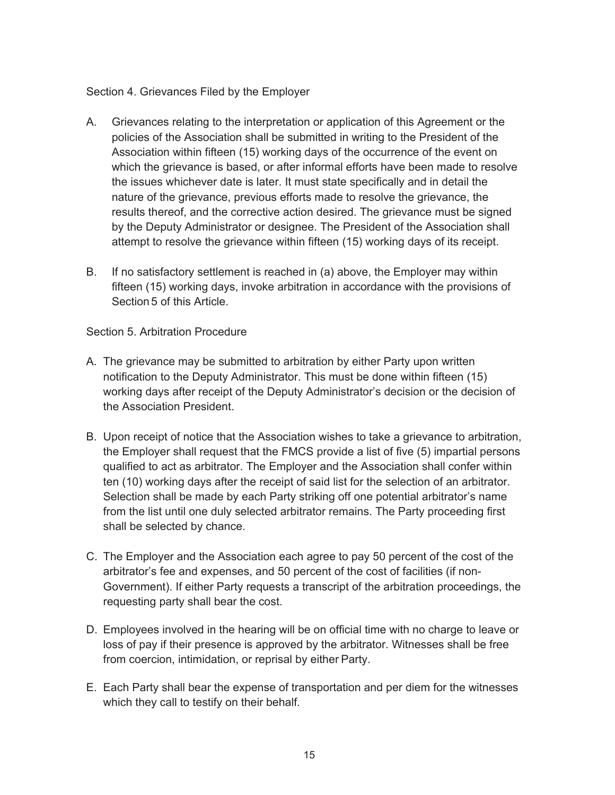#### Section 4. Grievances Filed by the Employer

- A. Grievances relating to the interpretation or application of this Agreement or the policies of the Association shall be submitted in writing to the President of the Association within fifteen (15) working days of the occurrence of the event on which the grievance is based, or after informal efforts have been made to resolve the issues whichever date is later. It must state specifically and in detail the nature of the grievance, previous efforts made to resolve the grievance, the results thereof, and the corrective action desired. The grievance must be signed by the Deputy Administrator or designee. The President of the Association shall attempt to resolve the grievance within fifteen (15) working days of its receipt.
- B. If no satisfactory settlement is reached in (a) above, the Employer may within fifteen (15) working days, invoke arbitration in accordance with the provisions of Section 5 of this Article.

Section 5. Arbitration Procedure

- A. The grievance may be submitted to arbitration by either Party upon written notification to the Deputy Administrator. This must be done within fifteen (15) working days after receipt of the Deputy Administrator's decision or the decision of the Association President.
- B. Upon receipt of notice that the Association wishes to take a grievance to arbitration, the Employer shall request that the FMCS provide a list of five (5) impartial persons qualified to act as arbitrator. The Employer and the Association shall confer within ten (10) working days after the receipt of said list for the selection of an arbitrator. Selection shall be made by each Party striking off one potential arbitrator's name from the list until one duly selected arbitrator remains. The Party proceeding first shall be selected by chance.
- C. The Employer and the Association each agree to pay 50 percent of the cost of the arbitrator's fee and expenses, and 50 percent of the cost of facilities (if non-Government). If either Party requests a transcript of the arbitration proceedings, the requesting party shall bear the cost.
- D. Employees involved in the hearing will be on official time with no charge to leave or loss of pay if their presence is approved by the arbitrator. Witnesses shall be free from coercion, intimidation, or reprisal by either Party.
- E. Each Party shall bear the expense of transportation and per diem for the witnesses which they call to testify on their behalf.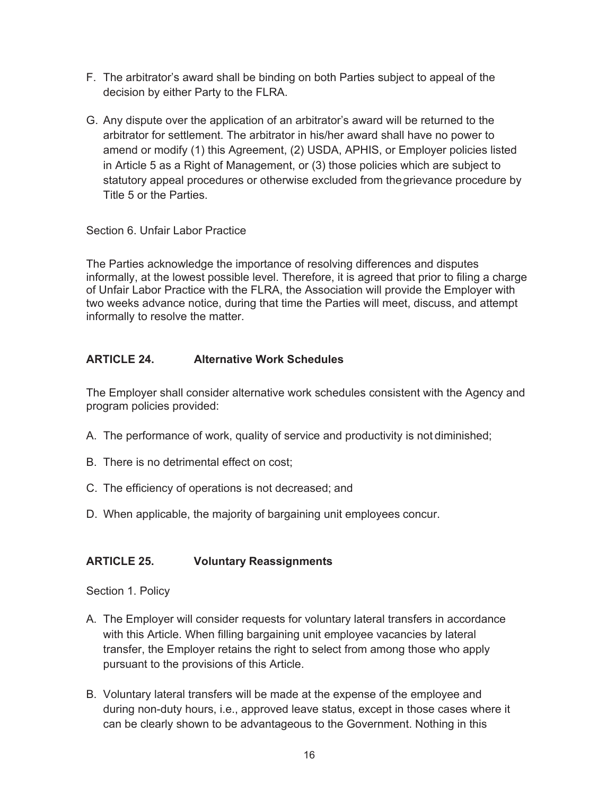- F. The arbitrator's award shall be binding on both Parties subject to appeal of the decision by either Party to the FLRA.
- G. Any dispute over the application of an arbitrator's award will be returned to the arbitrator for settlement. The arbitrator in his/her award shall have no power to amend or modify (1) this Agreement, (2) USDA, APHIS, or Employer policies listed in Article 5 as a Right of Management, or (3) those policies which are subject to statutory appeal procedures or otherwise excluded from the grievance procedure by Title 5 or the Parties.

Section 6. Unfair Labor Practice

The Parties acknowledge the importance of resolving differences and disputes informally, at the lowest possible level. Therefore, it is agreed that prior to filing a charge of Unfair Labor Practice with the FLRA, the Association will provide the Employer with two weeks advance notice, during that time the Parties will meet, discuss, and attempt informally to resolve the matter.

### **ARTICLE 24. Alternative Work Schedules**

The Employer shall consider alternative work schedules consistent with the Agency and program policies provided:

- A. The performance of work, quality of service and productivity is not diminished;
- B. There is no detrimental effect on cost;
- C. The efficiency of operations is not decreased; and
- D. When applicable, the majority of bargaining unit employees concur.

# **ARTICLE 25. Voluntary Reassignments**

Section 1. Policy

- A. The Employer will consider requests for voluntary lateral transfers in accordance with this Article. When filling bargaining unit employee vacancies by lateral transfer, the Employer retains the right to select from among those who apply pursuant to the provisions of this Article.
- B. Voluntary lateral transfers will be made at the expense of the employee and during non-duty hours, i.e., approved leave status, except in those cases where it can be clearly shown to be advantageous to the Government. Nothing in this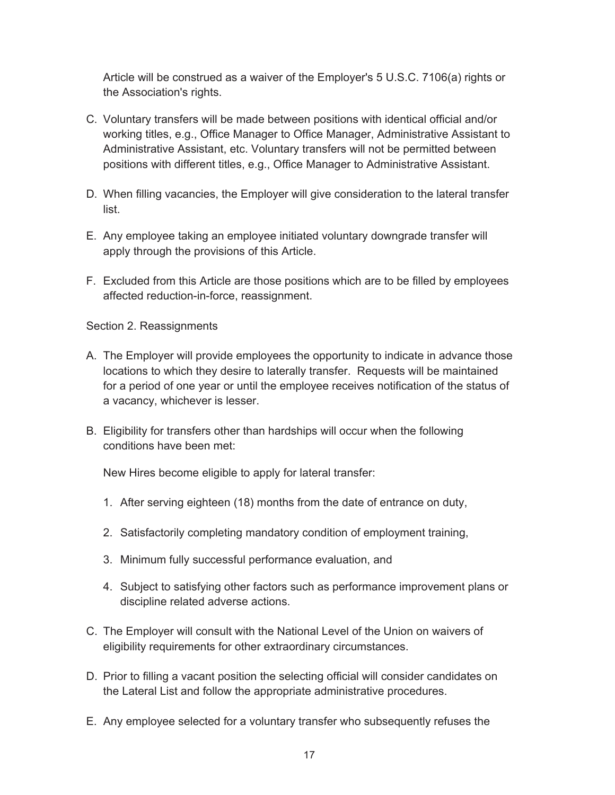Article will be construed as a waiver of the Employer's 5 U.S.C. 7106(a) rights or the Association's rights.

- C. Voluntary transfers will be made between positions with identical official and/or working titles, e.g., Office Manager to Office Manager, Administrative Assistant to Administrative Assistant, etc. Voluntary transfers will not be permitted between positions with different titles, e.g., Office Manager to Administrative Assistant.
- D. When filling vacancies, the Employer will give consideration to the lateral transfer list.
- E. Any employee taking an employee initiated voluntary downgrade transfer will apply through the provisions of this Article.
- F. Excluded from this Article are those positions which are to be filled by employees affected reduction-in-force, reassignment.

Section 2. Reassignments

- A. The Employer will provide employees the opportunity to indicate in advance those locations to which they desire to laterally transfer. Requests will be maintained for a period of one year or until the employee receives notification of the status of a vacancy, whichever is lesser.
- B. Eligibility for transfers other than hardships will occur when the following conditions have been met:

New Hires become eligible to apply for lateral transfer:

- 1. After serving eighteen (18) months from the date of entrance on duty,
- 2. Satisfactorily completing mandatory condition of employment training,
- 3. Minimum fully successful performance evaluation, and
- 4. Subject to satisfying other factors such as performance improvement plans or discipline related adverse actions.
- C. The Employer will consult with the National Level of the Union on waivers of eligibility requirements for other extraordinary circumstances.
- D. Prior to filling a vacant position the selecting official will consider candidates on the Lateral List and follow the appropriate administrative procedures.
- E. Any employee selected for a voluntary transfer who subsequently refuses the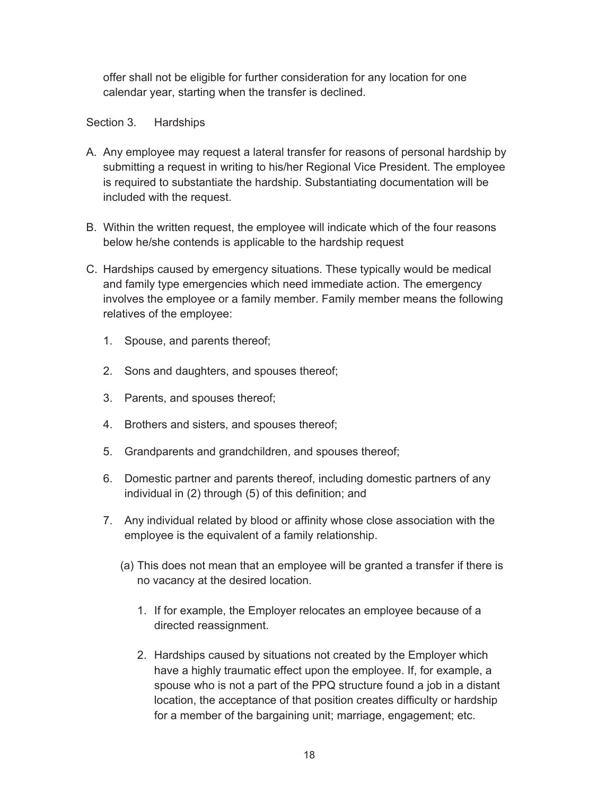offer shall not be eligible for further consideration for any location for one calendar year, starting when the transfer is declined.

Section 3. Hardships

- A. Any employee may request a lateral transfer for reasons of personal hardship by submitting a request in writing to his/her Regional Vice President. The employee is required to substantiate the hardship. Substantiating documentation will be included with the request.
- B. Within the written request, the employee will indicate which of the four reasons below he/she contends is applicable to the hardship request
- C. Hardships caused by emergency situations. These typically would be medical and family type emergencies which need immediate action. The emergency involves the employee or a family member. Family member means the following relatives of the employee:
	- 1. Spouse, and parents thereof;
	- 2. Sons and daughters, and spouses thereof;
	- 3. Parents, and spouses thereof;
	- 4. Brothers and sisters, and spouses thereof;
	- 5. Grandparents and grandchildren, and spouses thereof;
	- 6. Domestic partner and parents thereof, including domestic partners of any individual in (2) through (5) of this definition; and
	- 7. Any individual related by blood or affinity whose close association with the employee is the equivalent of a family relationship.
		- (a) This does not mean that an employee will be granted a transfer if there is no vacancy at the desired location.
			- 1. If for example, the Employer relocates an employee because of a directed reassignment.
			- 2. Hardships caused by situations not created by the Employer which have a highly traumatic effect upon the employee. If, for example, a spouse who is not a part of the PPQ structure found a job in a distant location, the acceptance of that position creates difficulty or hardship for a member of the bargaining unit; marriage, engagement; etc.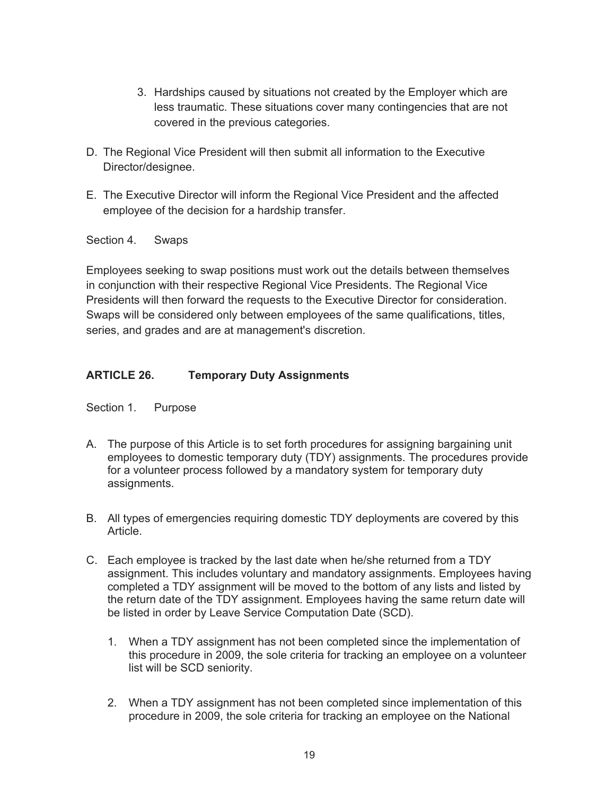- 3. Hardships caused by situations not created by the Employer which are less traumatic. These situations cover many contingencies that are not covered in the previous categories.
- D. The Regional Vice President will then submit all information to the Executive Director/designee.
- E. The Executive Director will inform the Regional Vice President and the affected employee of the decision for a hardship transfer.

Section 4. Swaps

Employees seeking to swap positions must work out the details between themselves in conjunction with their respective Regional Vice Presidents. The Regional Vice Presidents will then forward the requests to the Executive Director for consideration. Swaps will be considered only between employees of the same qualifications, titles, series, and grades and are at management's discretion.

# **ARTICLE 26. Temporary Duty Assignments**

Section 1. Purpose

- A. The purpose of this Article is to set forth procedures for assigning bargaining unit employees to domestic temporary duty (TDY) assignments. The procedures provide for a volunteer process followed by a mandatory system for temporary duty assignments.
- B. All types of emergencies requiring domestic TDY deployments are covered by this Article.
- C. Each employee is tracked by the last date when he/she returned from a TDY assignment. This includes voluntary and mandatory assignments. Employees having completed a TDY assignment will be moved to the bottom of any lists and listed by the return date of the TDY assignment. Employees having the same return date will be listed in order by Leave Service Computation Date (SCD).
	- 1. When a TDY assignment has not been completed since the implementation of this procedure in 2009, the sole criteria for tracking an employee on a volunteer list will be SCD seniority.
	- 2. When a TDY assignment has not been completed since implementation of this procedure in 2009, the sole criteria for tracking an employee on the National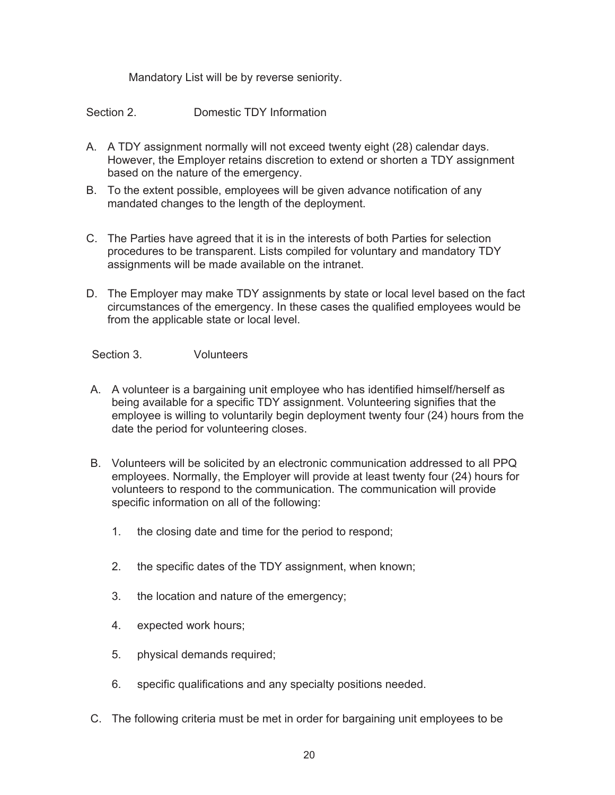Mandatory List will be by reverse seniority.

- Section 2. **Domestic TDY Information**
- A. A TDY assignment normally will not exceed twenty eight (28) calendar days. However, the Employer retains discretion to extend or shorten a TDY assignment based on the nature of the emergency.
- B. To the extent possible, employees will be given advance notification of any mandated changes to the length of the deployment.
- C. The Parties have agreed that it is in the interests of both Parties for selection procedures to be transparent. Lists compiled for voluntary and mandatory TDY assignments will be made available on the intranet.
- D. The Employer may make TDY assignments by state or local level based on the fact circumstances of the emergency. In these cases the qualified employees would be from the applicable state or local level.

Section 3. Volunteers

- A. A volunteer is a bargaining unit employee who has identified himself/herself as being available for a specific TDY assignment. Volunteering signifies that the employee is willing to voluntarily begin deployment twenty four (24) hours from the date the period for volunteering closes.
- B. Volunteers will be solicited by an electronic communication addressed to all PPQ employees. Normally, the Employer will provide at least twenty four (24) hours for volunteers to respond to the communication. The communication will provide specific information on all of the following:
	- 1. the closing date and time for the period to respond;
	- 2. the specific dates of the TDY assignment, when known;
	- 3. the location and nature of the emergency;
	- 4. expected work hours;
	- 5. physical demands required;
	- 6. specific qualifications and any specialty positions needed.
- C. The following criteria must be met in order for bargaining unit employees to be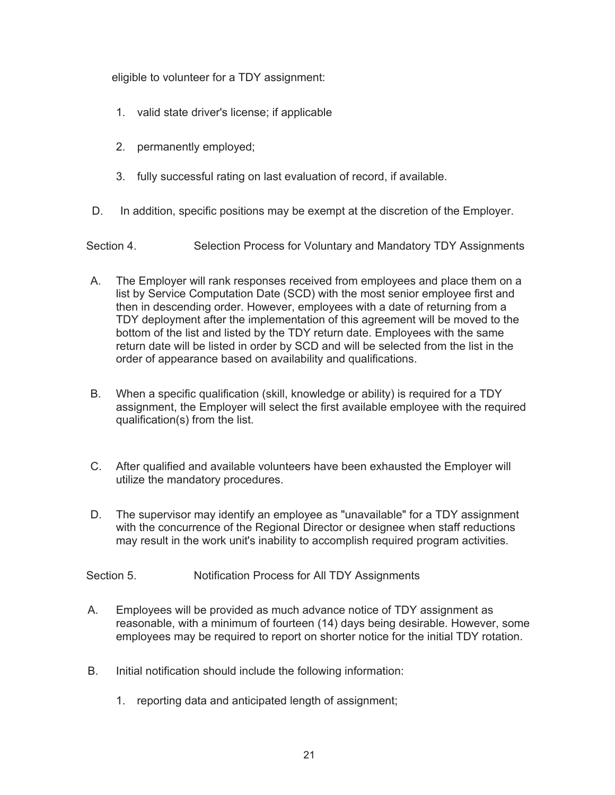eligible to volunteer for a TDY assignment:

- 1. valid state driver's license; if applicable
- 2. permanently employed;
- 3. fully successful rating on last evaluation of record, if available.
- D. In addition, specific positions may be exempt at the discretion of the Employer.

Section 4. Selection Process for Voluntary and Mandatory TDY Assignments

- A. The Employer will rank responses received from employees and place them on a list by Service Computation Date (SCD) with the most senior employee first and then in descending order. However, employees with a date of returning from a TDY deployment after the implementation of this agreement will be moved to the bottom of the list and listed by the TDY return date. Employees with the same return date will be listed in order by SCD and will be selected from the list in the order of appearance based on availability and qualifications.
- B. When a specific qualification (skill, knowledge or ability) is required for a TDY assignment, the Employer will select the first available employee with the required qualification(s) from the list.
- C. After qualified and available volunteers have been exhausted the Employer will utilize the mandatory procedures.
- D. The supervisor may identify an employee as "unavailable" for a TDY assignment with the concurrence of the Regional Director or designee when staff reductions may result in the work unit's inability to accomplish required program activities.

Section 5. Notification Process for All TDY Assignments

- A. Employees will be provided as much advance notice of TDY assignment as reasonable, with a minimum of fourteen (14) days being desirable. However, some employees may be required to report on shorter notice for the initial TDY rotation.
- B. Initial notification should include the following information:
	- 1. reporting data and anticipated length of assignment;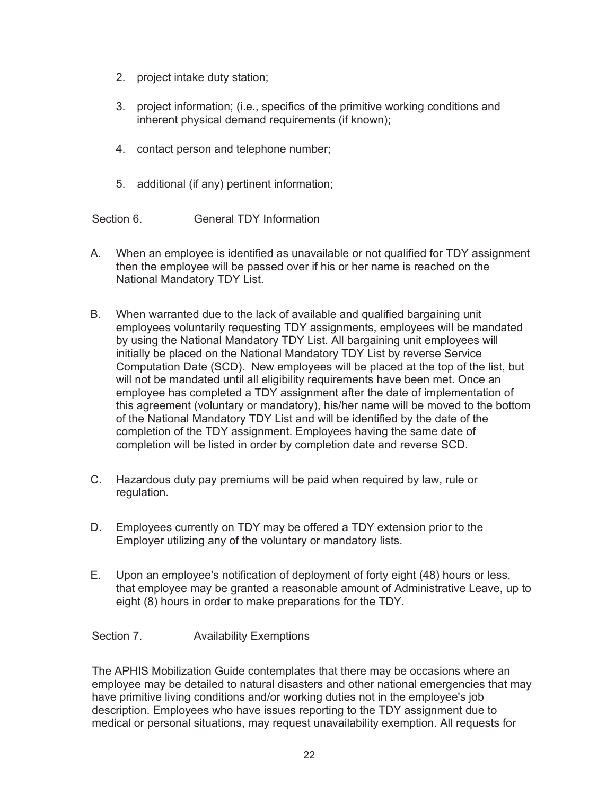- 2. project intake duty station;
- 3. project information; (i.e., specifics of the primitive working conditions and inherent physical demand requirements (if known);
- 4. contact person and telephone number;
- 5. additional (if any) pertinent information;

Section 6. **General TDY Information** 

- A. When an employee is identified as unavailable or not qualified for TDY assignment then the employee will be passed over if his or her name is reached on the National Mandatory TDY List.
- B. When warranted due to the lack of available and qualified bargaining unit employees voluntarily requesting TDY assignments, employees will be mandated by using the National Mandatory TDY List. All bargaining unit employees will initially be placed on the National Mandatory TDY List by reverse Service Computation Date (SCD). New employees will be placed at the top of the list, but will not be mandated until all eligibility requirements have been met. Once an employee has completed a TDY assignment after the date of implementation of this agreement (voluntary or mandatory), his/her name will be moved to the bottom of the National Mandatory TDY List and will be identified by the date of the completion of the TDY assignment. Employees having the same date of completion will be listed in order by completion date and reverse SCD.
- C. Hazardous duty pay premiums will be paid when required by law, rule or regulation.
- D. Employees currently on TDY may be offered a TDY extension prior to the Employer utilizing any of the voluntary or mandatory lists.
- E. Upon an employee's notification of deployment of forty eight (48) hours or less, that employee may be granted a reasonable amount of Administrative Leave, up to eight (8) hours in order to make preparations for the TDY.
- Section 7. **Availability Exemptions**

The APHIS Mobilization Guide contemplates that there may be occasions where an employee may be detailed to natural disasters and other national emergencies that may have primitive living conditions and/or working duties not in the employee's job description. Employees who have issues reporting to the TDY assignment due to medical or personal situations, may request unavailability exemption. All requests for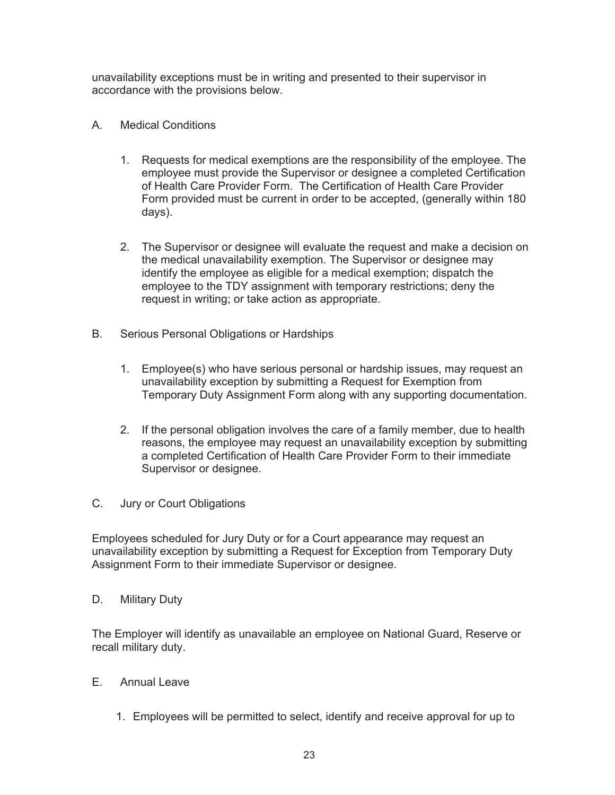unavailability exceptions must be in writing and presented to their supervisor in accordance with the provisions below.

- A. Medical Conditions
	- 1. Requests for medical exemptions are the responsibility of the employee. The employee must provide the Supervisor or designee a completed Certification of Health Care Provider Form. The Certification of Health Care Provider Form provided must be current in order to be accepted, (generally within 180 days).
	- 2. The Supervisor or designee will evaluate the request and make a decision on the medical unavailability exemption. The Supervisor or designee may identify the employee as eligible for a medical exemption; dispatch the employee to the TDY assignment with temporary restrictions; deny the request in writing; or take action as appropriate.
- B. Serious Personal Obligations or Hardships
	- 1. Employee(s) who have serious personal or hardship issues, may request an unavailability exception by submitting a Request for Exemption from Temporary Duty Assignment Form along with any supporting documentation.
	- 2. If the personal obligation involves the care of a family member, due to health reasons, the employee may request an unavailability exception by submitting a completed Certification of Health Care Provider Form to their immediate Supervisor or designee.
- C. Jury or Court Obligations

Employees scheduled for Jury Duty or for a Court appearance may request an unavailability exception by submitting a Request for Exception from Temporary Duty Assignment Form to their immediate Supervisor or designee.

D. Military Duty

The Employer will identify as unavailable an employee on National Guard, Reserve or recall military duty.

- E. Annual Leave
	- 1. Employees will be permitted to select, identify and receive approval for up to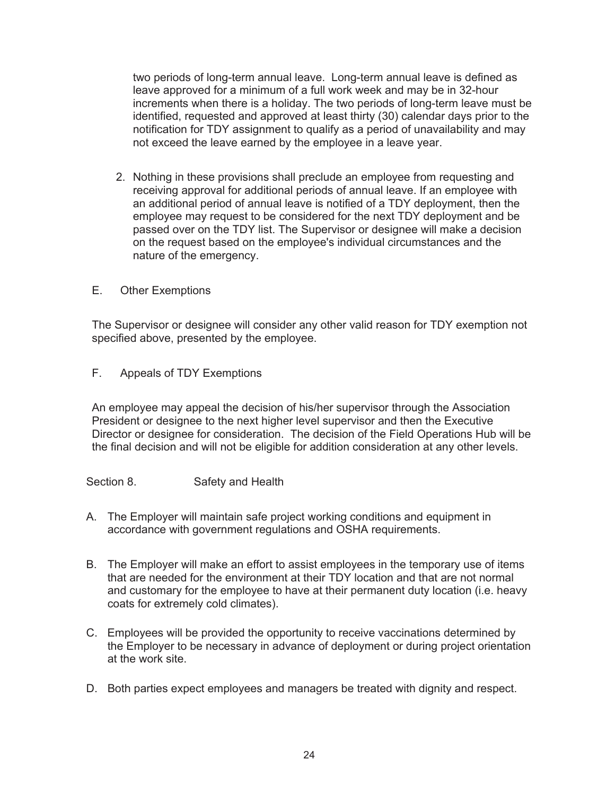two periods of long-term annual leave. Long-term annual leave is defined as leave approved for a minimum of a full work week and may be in 32-hour increments when there is a holiday. The two periods of long-term leave must be identified, requested and approved at least thirty (30) calendar days prior to the notification for TDY assignment to qualify as a period of unavailability and may not exceed the leave earned by the employee in a leave year.

- 2. Nothing in these provisions shall preclude an employee from requesting and receiving approval for additional periods of annual leave. If an employee with an additional period of annual leave is notified of a TDY deployment, then the employee may request to be considered for the next TDY deployment and be passed over on the TDY list. The Supervisor or designee will make a decision on the request based on the employee's individual circumstances and the nature of the emergency.
- E. Other Exemptions

The Supervisor or designee will consider any other valid reason for TDY exemption not specified above, presented by the employee.

F. Appeals of TDY Exemptions

An employee may appeal the decision of his/her supervisor through the Association President or designee to the next higher level supervisor and then the Executive Director or designee for consideration. The decision of the Field Operations Hub will be the final decision and will not be eligible for addition consideration at any other levels.

Section 8. Safety and Health

- A. The Employer will maintain safe project working conditions and equipment in accordance with government regulations and OSHA requirements.
- B. The Employer will make an effort to assist employees in the temporary use of items that are needed for the environment at their TDY location and that are not normal and customary for the employee to have at their permanent duty location (i.e. heavy coats for extremely cold climates).
- C. Employees will be provided the opportunity to receive vaccinations determined by the Employer to be necessary in advance of deployment or during project orientation at the work site.
- D. Both parties expect employees and managers be treated with dignity and respect.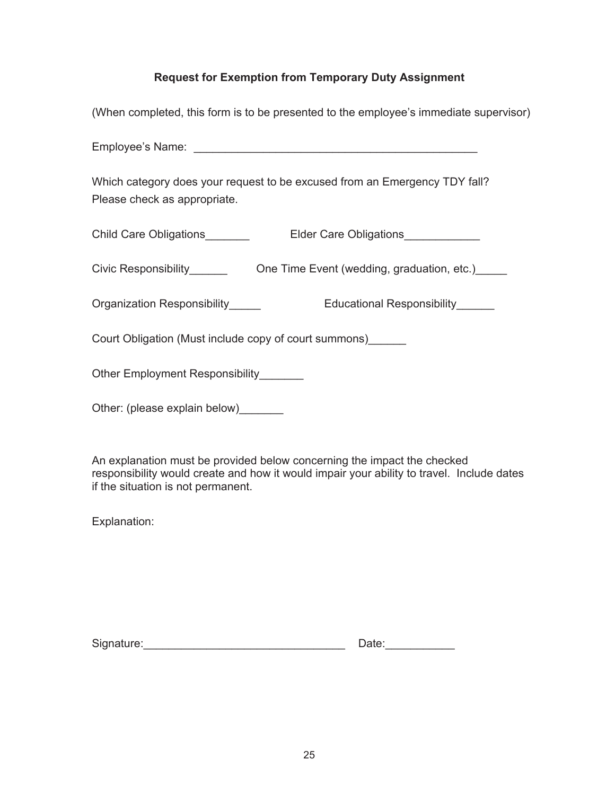# **Request for Exemption from Temporary Duty Assignment**

| (When completed, this form is to be presented to the employee's immediate supervisor)                                    |  |  |
|--------------------------------------------------------------------------------------------------------------------------|--|--|
|                                                                                                                          |  |  |
| Which category does your request to be excused from an Emergency TDY fall?<br>Please check as appropriate.               |  |  |
| Child Care Obligations_______<br>Elder Care Obligations____________                                                      |  |  |
| Civic Responsibility <b>COLOGOCO COLOGOCO CONTEGAT CONCOCO CONTECT</b> Civic Responsibility COLOGOCO CONGERVIA CONGERVIA |  |  |
| Organization Responsibility_____<br>Educational Responsibility______                                                     |  |  |
| Court Obligation (Must include copy of court summons) ______                                                             |  |  |
| Other Employment Responsibility_______                                                                                   |  |  |
| Other: (please explain below)                                                                                            |  |  |

An explanation must be provided below concerning the impact the checked responsibility would create and how it would impair your ability to travel. Include dates if the situation is not permanent.

Explanation:

| Signature: |  |
|------------|--|
|            |  |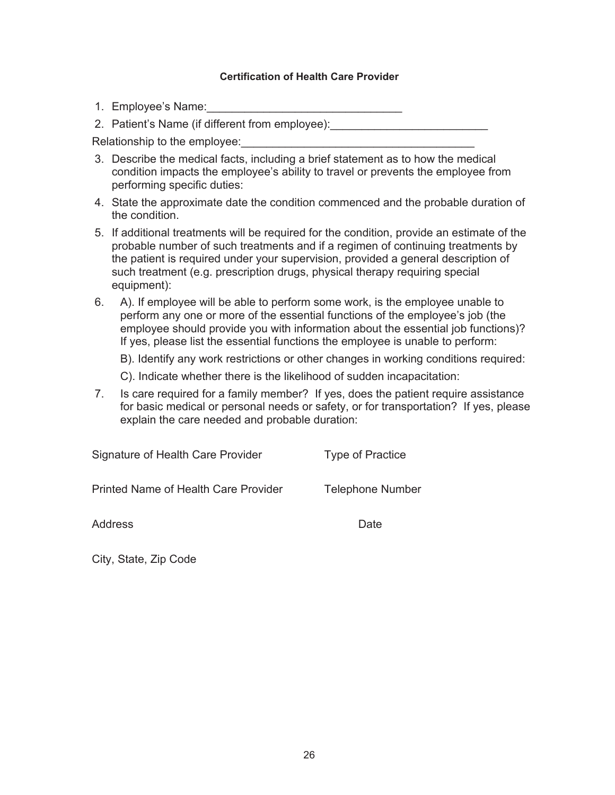#### **Certification of Health Care Provider**

1. Employee's Name:

2. Patient's Name (if different from employee):

Relationship to the employee:

- 3. Describe the medical facts, including a brief statement as to how the medical condition impacts the employee's ability to travel or prevents the employee from performing specific duties:
- 4. State the approximate date the condition commenced and the probable duration of the condition.
- 5. If additional treatments will be required for the condition, provide an estimate of the probable number of such treatments and if a regimen of continuing treatments by the patient is required under your supervision, provided a general description of such treatment (e.g. prescription drugs, physical therapy requiring special equipment):
- 6. A). If employee will be able to perform some work, is the employee unable to perform any one or more of the essential functions of the employee's job (the employee should provide you with information about the essential job functions)? If yes, please list the essential functions the employee is unable to perform:

B). Identify any work restrictions or other changes in working conditions required:

- C). Indicate whether there is the likelihood of sudden incapacitation:
- 7. Is care required for a family member? If yes, does the patient require assistance for basic medical or personal needs or safety, or for transportation? If yes, please explain the care needed and probable duration:

| Signature of Health Care Provider           | Type of Practice        |
|---------------------------------------------|-------------------------|
| <b>Printed Name of Health Care Provider</b> | <b>Telephone Number</b> |
| Address                                     | Date                    |

City, State, Zip Code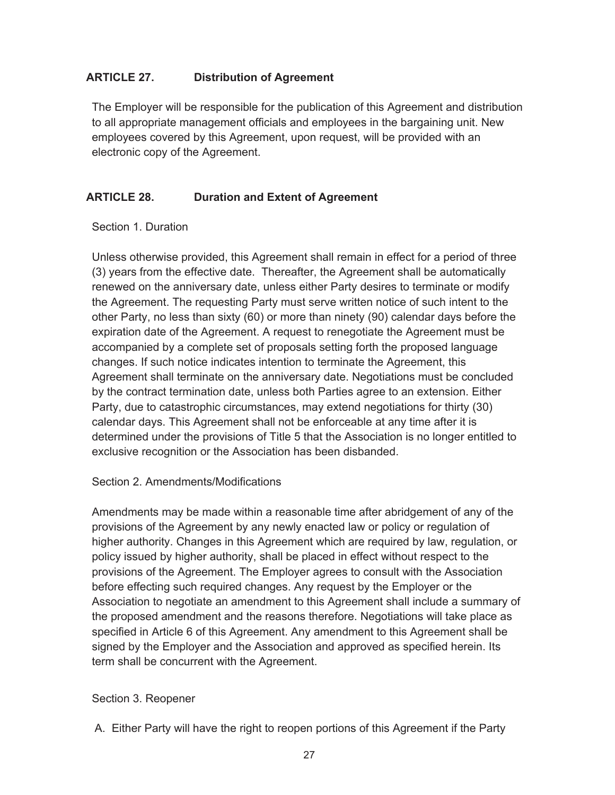# **ARTICLE 27. Distribution of Agreement**

The Employer will be responsible for the publication of this Agreement and distribution to all appropriate management officials and employees in the bargaining unit. New employees covered by this Agreement, upon request, will be provided with an electronic copy of the Agreement.

### **ARTICLE 28. Duration and Extent of Agreement**

#### Section 1. Duration

Unless otherwise provided, this Agreement shall remain in effect for a period of three (3) years from the effective date. Thereafter, the Agreement shall be automatically renewed on the anniversary date, unless either Party desires to terminate or modify the Agreement. The requesting Party must serve written notice of such intent to the other Party, no less than sixty (60) or more than ninety (90) calendar days before the expiration date of the Agreement. A request to renegotiate the Agreement must be accompanied by a complete set of proposals setting forth the proposed language changes. If such notice indicates intention to terminate the Agreement, this Agreement shall terminate on the anniversary date. Negotiations must be concluded by the contract termination date, unless both Parties agree to an extension. Either Party, due to catastrophic circumstances, may extend negotiations for thirty (30) calendar days. This Agreement shall not be enforceable at any time after it is determined under the provisions of Title 5 that the Association is no longer entitled to exclusive recognition or the Association has been disbanded.

#### Section 2. Amendments/Modifications

Amendments may be made within a reasonable time after abridgement of any of the provisions of the Agreement by any newly enacted law or policy or regulation of higher authority. Changes in this Agreement which are required by law, regulation, or policy issued by higher authority, shall be placed in effect without respect to the provisions of the Agreement. The Employer agrees to consult with the Association before effecting such required changes. Any request by the Employer or the Association to negotiate an amendment to this Agreement shall include a summary of the proposed amendment and the reasons therefore. Negotiations will take place as specified in Article 6 of this Agreement. Any amendment to this Agreement shall be signed by the Employer and the Association and approved as specified herein. Its term shall be concurrent with the Agreement.

#### Section 3. Reopener

A. Either Party will have the right to reopen portions of this Agreement if the Party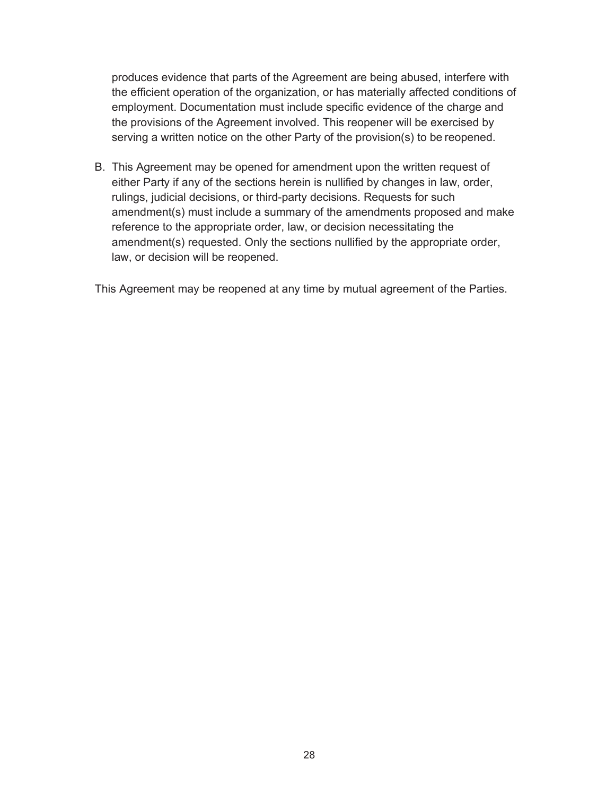produces evidence that parts of the Agreement are being abused, interfere with the efficient operation of the organization, or has materially affected conditions of employment. Documentation must include specific evidence of the charge and the provisions of the Agreement involved. This reopener will be exercised by serving a written notice on the other Party of the provision(s) to be reopened.

B. This Agreement may be opened for amendment upon the written request of either Party if any of the sections herein is nullified by changes in law, order, rulings, judicial decisions, or third-party decisions. Requests for such amendment(s) must include a summary of the amendments proposed and make reference to the appropriate order, law, or decision necessitating the amendment(s) requested. Only the sections nullified by the appropriate order, law, or decision will be reopened.

This Agreement may be reopened at any time by mutual agreement of the Parties.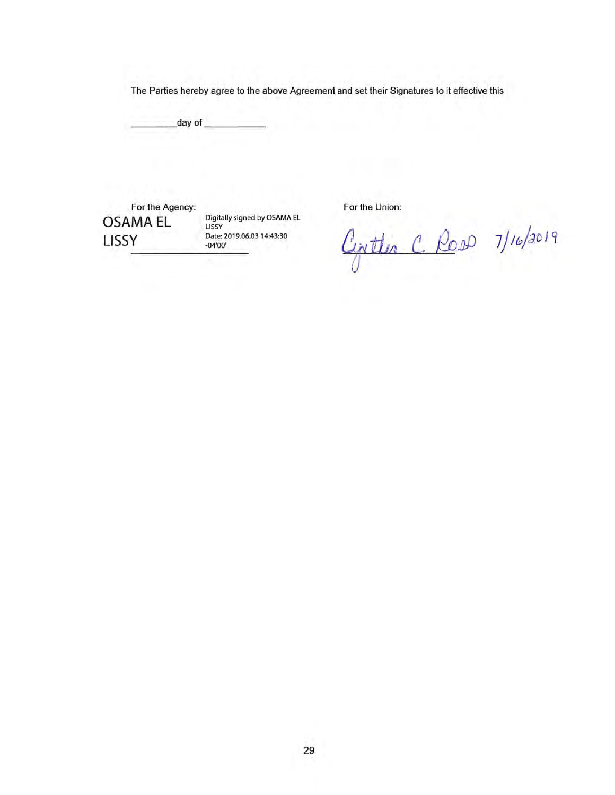The Parties hereby agree to the above Agreement and set their Signatures to it effective this

 $day of$ 

For the Agency: **OSAMA EL** LISSY

Digitally signed by OSAMA EL LISSY Date: 2019.06.03 14:43:30  $-04'00'$ 

For the Union:

Civiter C. Ross 7/16/2019